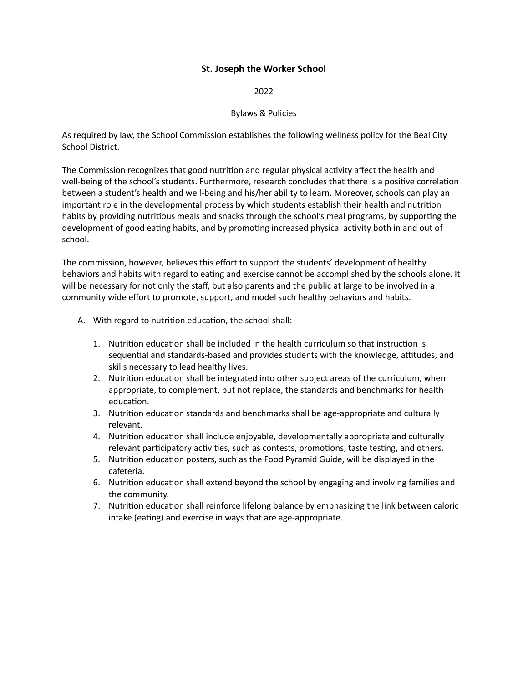## **St. Joseph the Worker School**

2022

#### Bylaws & Policies

As required by law, the School Commission establishes the following wellness policy for the Beal City School District.

The Commission recognizes that good nutrition and regular physical activity affect the health and well-being of the school's students. Furthermore, research concludes that there is a positive correlation between a student's health and well-being and his/her ability to learn. Moreover, schools can play an important role in the developmental process by which students establish their health and nutrion habits by providing nutritious meals and snacks through the school's meal programs, by supporting the development of good eating habits, and by promoting increased physical activity both in and out of school.

The commission, however, believes this effort to support the students' development of healthy behaviors and habits with regard to eating and exercise cannot be accomplished by the schools alone. It will be necessary for not only the staff, but also parents and the public at large to be involved in a community wide effort to promote, support, and model such healthy behaviors and habits.

- A. With regard to nutrition education, the school shall:
	- 1. Nutrition education shall be included in the health curriculum so that instruction is sequential and standards-based and provides students with the knowledge, attitudes, and skills necessary to lead healthy lives.
	- 2. Nutrition education shall be integrated into other subject areas of the curriculum, when appropriate, to complement, but not replace, the standards and benchmarks for health education.
	- 3. Nutrition education standards and benchmarks shall be age-appropriate and culturally relevant.
	- 4. Nutrition education shall include enjoyable, developmentally appropriate and culturally relevant participatory activities, such as contests, promotions, taste testing, and others.
	- 5. Nutrition education posters, such as the Food Pyramid Guide, will be displayed in the cafeteria.
	- 6. Nutrition education shall extend beyond the school by engaging and involving families and the community.
	- 7. Nutrition education shall reinforce lifelong balance by emphasizing the link between caloric intake (eating) and exercise in ways that are age-appropriate.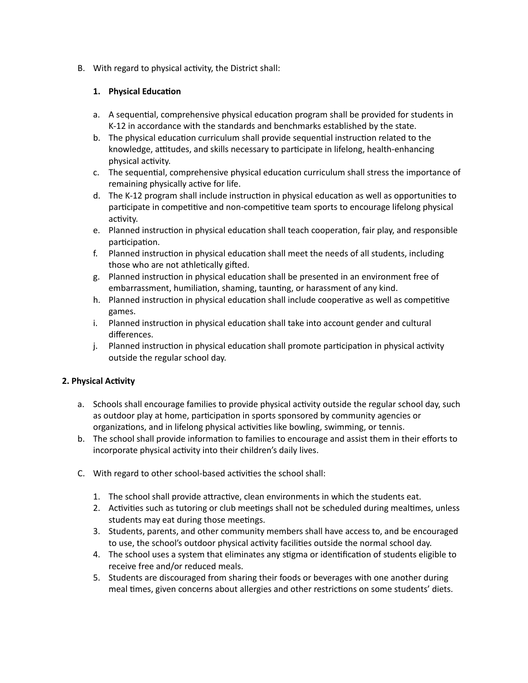B. With regard to physical activity, the District shall:

### **1.** Physical Education

- a. A sequential, comprehensive physical education program shall be provided for students in K-12 in accordance with the standards and benchmarks established by the state.
- b. The physical education curriculum shall provide sequential instruction related to the knowledge, attitudes, and skills necessary to participate in lifelong, health-enhancing physical activity.
- c. The sequential, comprehensive physical education curriculum shall stress the importance of remaining physically active for life.
- d. The K-12 program shall include instruction in physical education as well as opportunities to participate in competitive and non-competitive team sports to encourage lifelong physical activity.
- e. Planned instruction in physical education shall teach cooperation, fair play, and responsible participation.
- f. Planned instruction in physical education shall meet the needs of all students, including those who are not athletically gifted.
- g. Planned instruction in physical education shall be presented in an environment free of embarrassment, humiliation, shaming, taunting, or harassment of any kind.
- h. Planned instruction in physical education shall include cooperative as well as competitive games.
- i. Planned instruction in physical education shall take into account gender and cultural differences.
- j. Planned instruction in physical education shall promote participation in physical activity outside the regular school day.

# **2. Physical Activity**

- a. Schools shall encourage families to provide physical activity outside the regular school day, such as outdoor play at home, participation in sports sponsored by community agencies or organizations, and in lifelong physical activities like bowling, swimming, or tennis.
- b. The school shall provide information to families to encourage and assist them in their efforts to incorporate physical activity into their children's daily lives.
- C. With regard to other school-based activities the school shall:
	- 1. The school shall provide attractive, clean environments in which the students eat.
	- 2. Activities such as tutoring or club meetings shall not be scheduled during mealtimes, unless students may eat during those meetings.
	- 3. Students, parents, and other community members shall have access to, and be encouraged to use, the school's outdoor physical activity facilities outside the normal school day.
	- 4. The school uses a system that eliminates any stigma or identification of students eligible to receive free and/or reduced meals.
	- 5. Students are discouraged from sharing their foods or beverages with one another during meal times, given concerns about allergies and other restrictions on some students' diets.